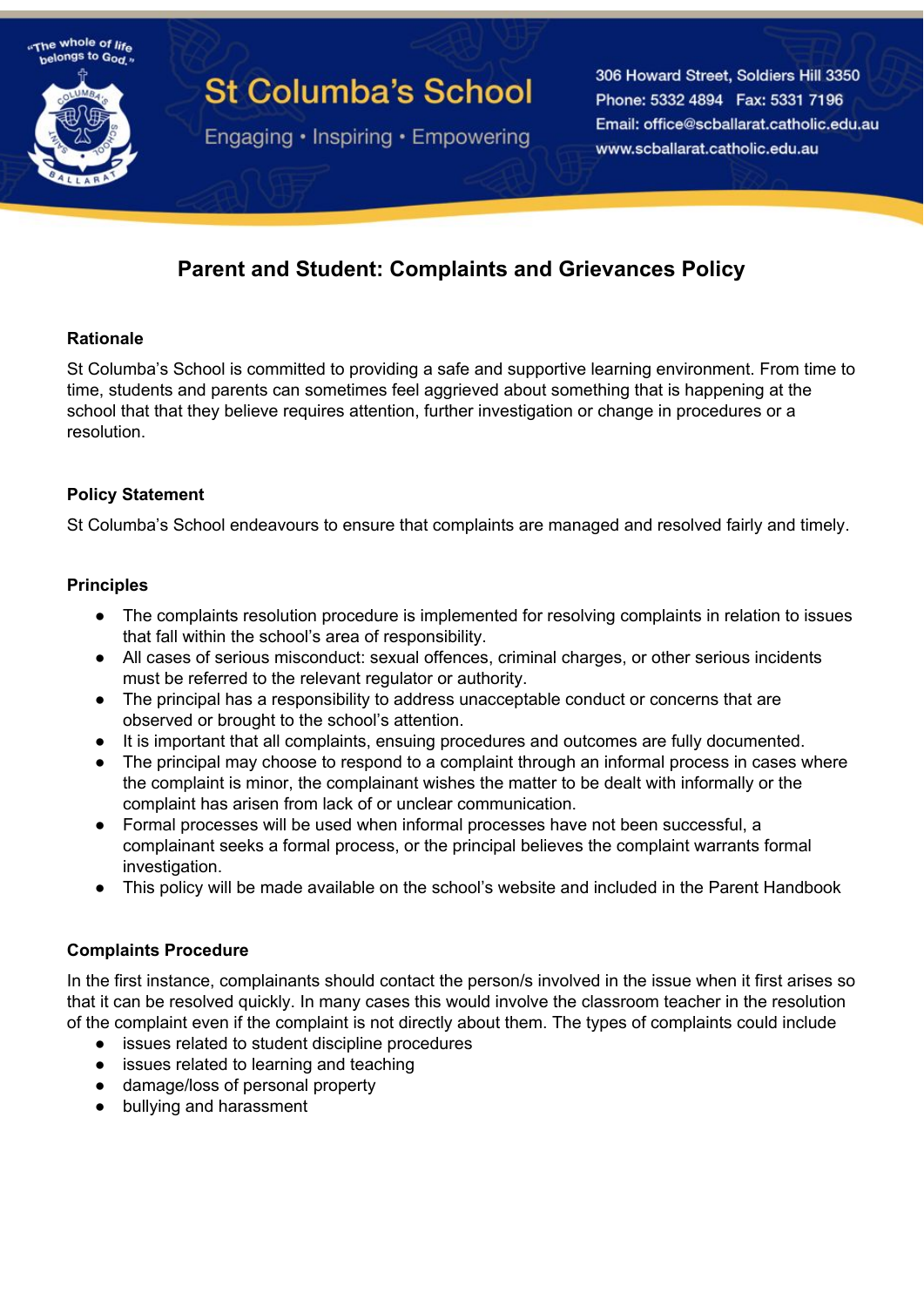

# **St Columba's School**

Engaging • Inspiring • Empowering

306 Howard Street, Soldiers Hill 3350 Phone: 5332 4894 Fax: 5331 7196 Email: office@scballarat.catholic.edu.au www.scballarat.catholic.edu.au

# **Parent and Student: Complaints and Grievances Policy**

# **Rationale**

St Columba's School is committed to providing a safe and supportive learning environment. From time to time, students and parents can sometimes feel aggrieved about something that is happening at the school that that they believe requires attention, further investigation or change in procedures or a resolution.

# **Policy Statement**

St Columba's School endeavours to ensure that complaints are managed and resolved fairly and timely.

#### **Principles**

- The complaints resolution procedure is implemented for resolving complaints in relation to issues that fall within the school's area of responsibility.
- All cases of serious misconduct: sexual offences, criminal charges, or other serious incidents must be referred to the relevant regulator or authority.
- The principal has a responsibility to address unacceptable conduct or concerns that are observed or brought to the school's attention.
- It is important that all complaints, ensuing procedures and outcomes are fully documented.
- The principal may choose to respond to a complaint through an informal process in cases where the complaint is minor, the complainant wishes the matter to be dealt with informally or the complaint has arisen from lack of or unclear communication.
- Formal processes will be used when informal processes have not been successful, a complainant seeks a formal process, or the principal believes the complaint warrants formal investigation.
- This policy will be made available on the school's website and included in the Parent Handbook

#### **Complaints Procedure**

In the first instance, complainants should contact the person/s involved in the issue when it first arises so that it can be resolved quickly. In many cases this would involve the classroom teacher in the resolution of the complaint even if the complaint is not directly about them. The types of complaints could include

- issues related to student discipline procedures
- issues related to learning and teaching
- damage/loss of personal property
- bullying and harassment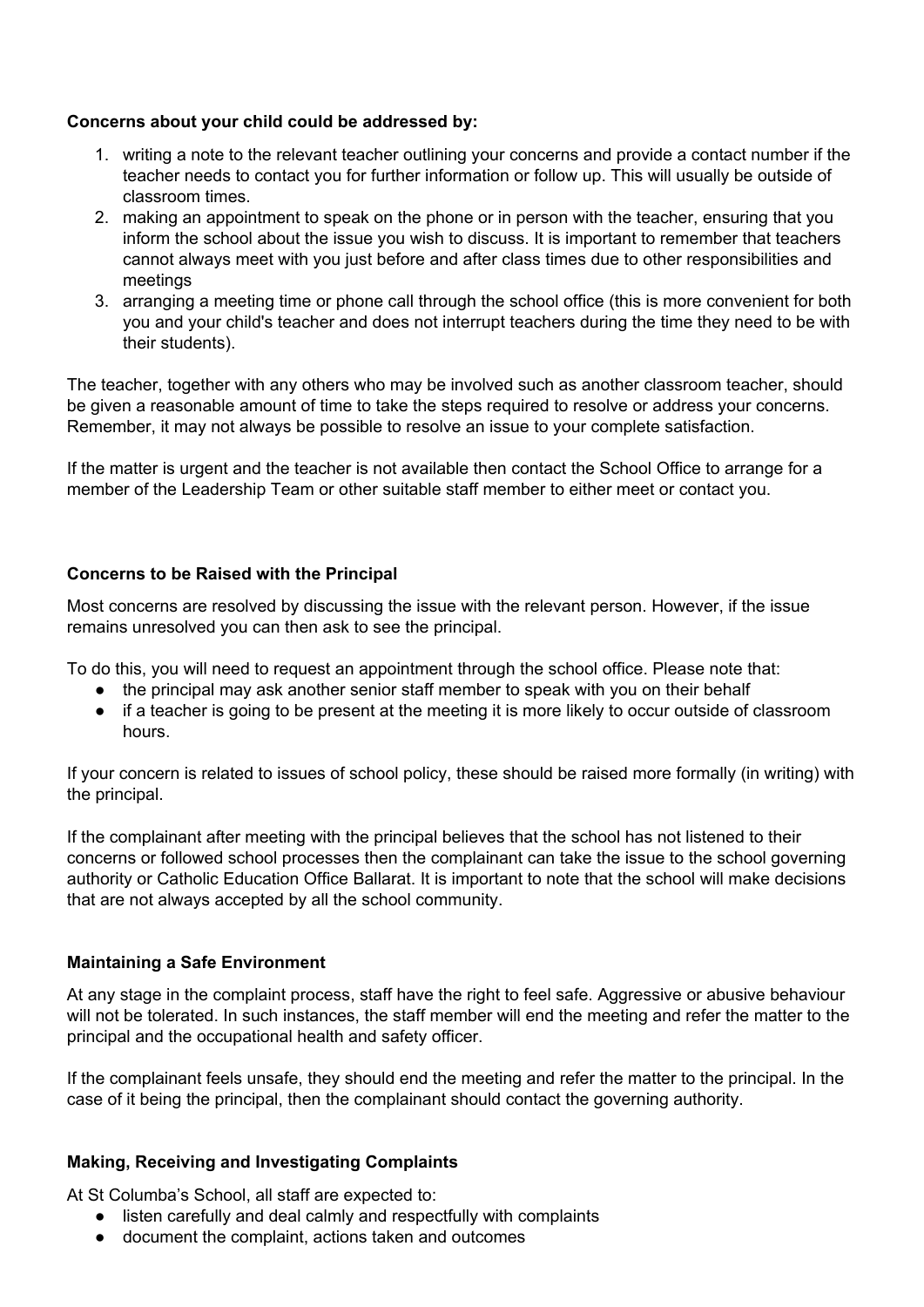#### **Concerns about your child could be addressed by:**

- 1. writing a note to the relevant teacher outlining your concerns and provide a contact number if the teacher needs to contact you for further information or follow up. This will usually be outside of classroom times.
- 2. making an appointment to speak on the phone or in person with the teacher, ensuring that you inform the school about the issue you wish to discuss. It is important to remember that teachers cannot always meet with you just before and after class times due to other responsibilities and meetings
- 3. arranging a meeting time or phone call through the school office (this is more convenient for both you and your child's teacher and does not interrupt teachers during the time they need to be with their students).

The teacher, together with any others who may be involved such as another classroom teacher, should be given a reasonable amount of time to take the steps required to resolve or address your concerns. Remember, it may not always be possible to resolve an issue to your complete satisfaction.

If the matter is urgent and the teacher is not available then contact the School Office to arrange for a member of the Leadership Team or other suitable staff member to either meet or contact you.

#### **Concerns to be Raised with the Principal**

Most concerns are resolved by discussing the issue with the relevant person. However, if the issue remains unresolved you can then ask to see the principal.

To do this, you will need to request an appointment through the school office. Please note that:

- the principal may ask another senior staff member to speak with you on their behalf
- if a teacher is going to be present at the meeting it is more likely to occur outside of classroom hours.

If your concern is related to issues of school policy, these should be raised more formally (in writing) with the principal.

If the complainant after meeting with the principal believes that the school has not listened to their concerns or followed school processes then the complainant can take the issue to the school governing authority or Catholic Education Office Ballarat. It is important to note that the school will make decisions that are not always accepted by all the school community.

# **Maintaining a Safe Environment**

At any stage in the complaint process, staff have the right to feel safe. Aggressive or abusive behaviour will not be tolerated. In such instances, the staff member will end the meeting and refer the matter to the principal and the occupational health and safety officer.

If the complainant feels unsafe, they should end the meeting and refer the matter to the principal. In the case of it being the principal, then the complainant should contact the governing authority.

# **Making, Receiving and Investigating Complaints**

At St Columba's School, all staff are expected to:

- listen carefully and deal calmly and respectfully with complaints
- document the complaint, actions taken and outcomes